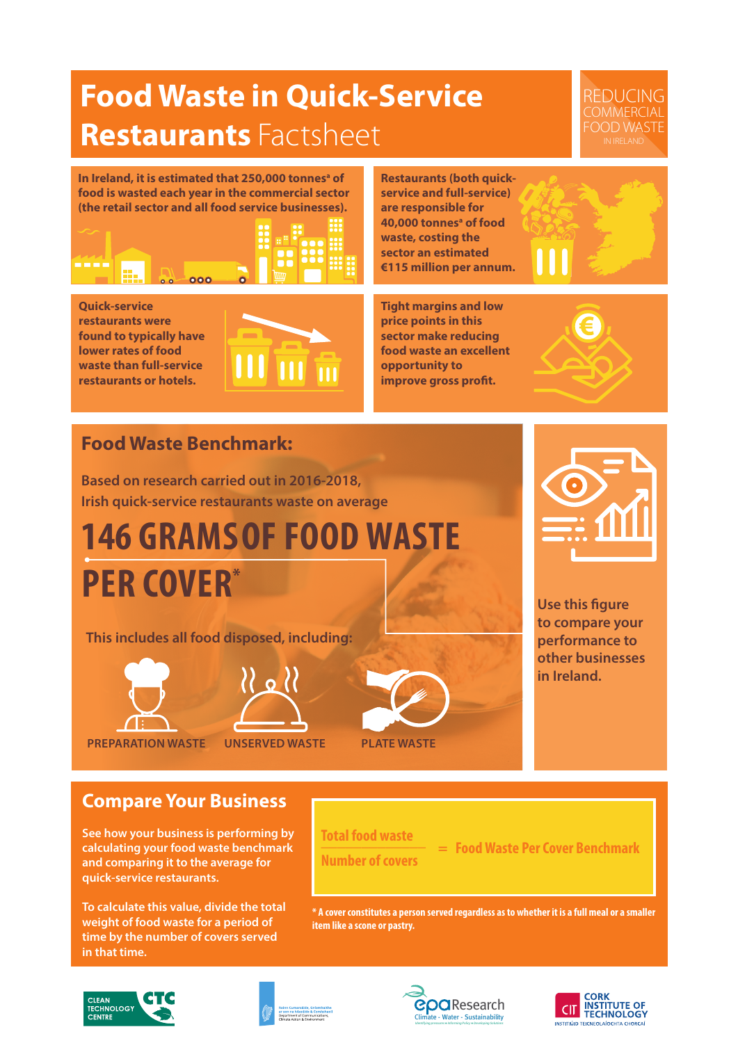## **Food Waste in Quick-Service Restaurants** Factsheet

REDUCING **COMMERCIAL** FOOD WASTE

In Ireland, it is estimated that 250,000 tonnes<sup>a</sup> of **food is wasted each year in the commercial sector (the retail sector and all food service businesses).** 



**Quick-service restaurants were found to typically have lower rates of food waste than full-service restaurants or hotels.**



**Restaurants (both quickservice and full-service) are responsible for 40,000 tonnesa of food waste, costing the sector an estimated €115 million per annum.**

**Tight margins and low price points in this sector make reducing food waste an excellent opportunity to improve gross profit.** 

### **Food Waste Benchmark:**

**Based on research carried out in 2016-2018, Irish quick-service restaurants waste on average** 

# **146 GRAMS OF FOOD WASTE PER COVER\***

**This includes all food disposed, including:**



**PREPARATION WASTE UNSERVED WASTE PLATE WASTE**



**Use this figure to compare your performance to other businesses in Ireland.** 

**Compare Your Business**

**See how your business is performing by calculating your food waste benchmark and comparing it to the average for quick-service restaurants.**

**To calculate this value, divide the total weight of food waste for a period of time by the number of covers served in that time.**

**Total food waste \_\_\_\_\_\_\_\_\_\_\_\_\_ Number of covers**

 **= Food Waste Per Cover Benchmark**

**\* A cover constitutes a person served regardless as to whether it is a full meal or a smaller item like a scone or pastry.**